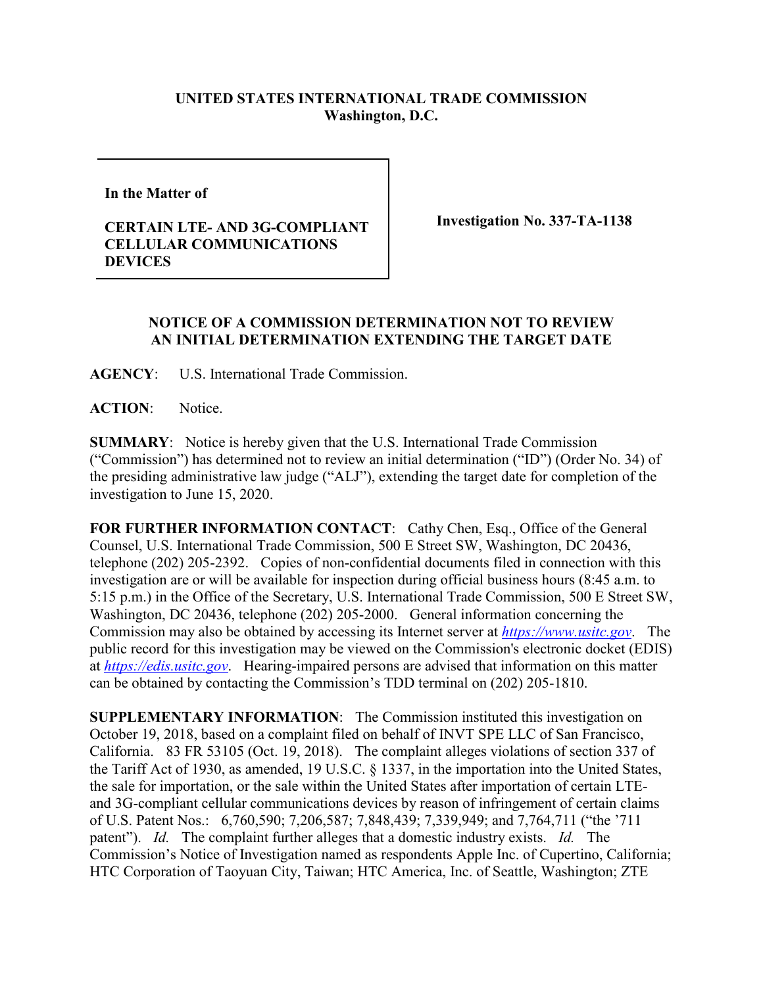## **UNITED STATES INTERNATIONAL TRADE COMMISSION Washington, D.C.**

**In the Matter of** 

## **CERTAIN LTE- AND 3G-COMPLIANT CELLULAR COMMUNICATIONS DEVICES**

**Investigation No. 337-TA-1138**

## **NOTICE OF A COMMISSION DETERMINATION NOT TO REVIEW AN INITIAL DETERMINATION EXTENDING THE TARGET DATE**

**AGENCY**: U.S. International Trade Commission.

**ACTION**: Notice.

**SUMMARY**: Notice is hereby given that the U.S. International Trade Commission ("Commission") has determined not to review an initial determination ("ID") (Order No. 34) of the presiding administrative law judge ("ALJ"), extending the target date for completion of the investigation to June 15, 2020.

FOR FURTHER INFORMATION CONTACT: Cathy Chen, Esq., Office of the General Counsel, U.S. International Trade Commission, 500 E Street SW, Washington, DC 20436, telephone (202) 205-2392. Copies of non-confidential documents filed in connection with this investigation are or will be available for inspection during official business hours (8:45 a.m. to 5:15 p.m.) in the Office of the Secretary, U.S. International Trade Commission, 500 E Street SW, Washington, DC 20436, telephone (202) 205-2000. General information concerning the Commission may also be obtained by accessing its Internet server at *[https://www.usitc.gov](https://www.usitc.gov/)*. The public record for this investigation may be viewed on the Commission's electronic docket (EDIS) at *[https://edis.usitc.gov](https://edis.usitc.gov/)*. Hearing-impaired persons are advised that information on this matter can be obtained by contacting the Commission's TDD terminal on (202) 205-1810.

**SUPPLEMENTARY INFORMATION**: The Commission instituted this investigation on October 19, 2018, based on a complaint filed on behalf of INVT SPE LLC of San Francisco, California. 83 FR 53105 (Oct. 19, 2018). The complaint alleges violations of section 337 of the Tariff Act of 1930, as amended, 19 U.S.C. § 1337, in the importation into the United States, the sale for importation, or the sale within the United States after importation of certain LTEand 3G-compliant cellular communications devices by reason of infringement of certain claims of U.S. Patent Nos.: 6,760,590; 7,206,587; 7,848,439; 7,339,949; and 7,764,711 ("the '711 patent"). *Id.* The complaint further alleges that a domestic industry exists. *Id.* The Commission's Notice of Investigation named as respondents Apple Inc. of Cupertino, California; HTC Corporation of Taoyuan City, Taiwan; HTC America, Inc. of Seattle, Washington; ZTE